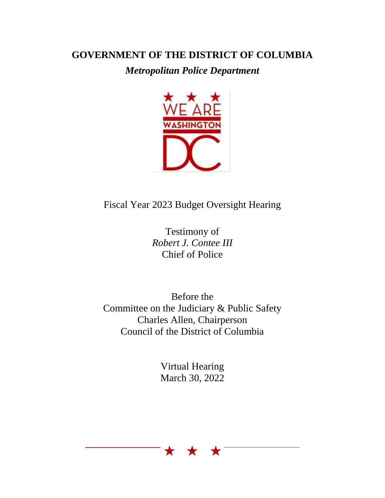## **GOVERNMENT OF THE DISTRICT OF COLUMBIA**

*Metropolitan Police Department*



## Fiscal Year 2023 Budget Oversight Hearing

Testimony of *Robert J. Contee III* Chief of Police

Before the Committee on the Judiciary & Public Safety Charles Allen, Chairperson Council of the District of Columbia

> Virtual Hearing March 30, 2022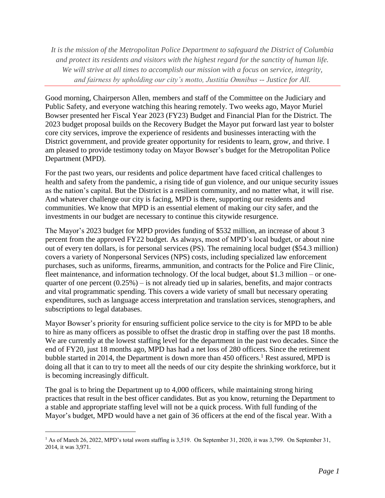*It is the mission of the Metropolitan Police Department to safeguard the District of Columbia and protect its residents and visitors with the highest regard for the sanctity of human life. We will strive at all times to accomplish our mission with a focus on service, integrity, and fairness by upholding our city's motto, Justitia Omnibus -- Justice for All.*

Good morning, Chairperson Allen, members and staff of the Committee on the Judiciary and Public Safety, and everyone watching this hearing remotely. Two weeks ago, Mayor Muriel Bowser presented her Fiscal Year 2023 (FY23) Budget and Financial Plan for the District. The 2023 budget proposal builds on the Recovery Budget the Mayor put forward last year to bolster core city services, improve the experience of residents and businesses interacting with the District government, and provide greater opportunity for residents to learn, grow, and thrive. I am pleased to provide testimony today on Mayor Bowser's budget for the Metropolitan Police Department (MPD).

For the past two years, our residents and police department have faced critical challenges to health and safety from the pandemic, a rising tide of gun violence, and our unique security issues as the nation's capital. But the District is a resilient community, and no matter what, it will rise. And whatever challenge our city is facing, MPD is there, supporting our residents and communities. We know that MPD is an essential element of making our city safer, and the investments in our budget are necessary to continue this citywide resurgence.

The Mayor's 2023 budget for MPD provides funding of \$532 million, an increase of about 3 percent from the approved FY22 budget. As always, most of MPD's local budget, or about nine out of every ten dollars, is for personal services (PS). The remaining local budget (\$54.3 million) covers a variety of Nonpersonal Services (NPS) costs, including specialized law enforcement purchases, such as uniforms, firearms, ammunition, and contracts for the Police and Fire Clinic, fleet maintenance, and information technology. Of the local budget, about \$1.3 million – or onequarter of one percent  $(0.25\%)$  – is not already tied up in salaries, benefits, and major contracts and vital programmatic spending. This covers a wide variety of small but necessary operating expenditures, such as language access interpretation and translation services, stenographers, and subscriptions to legal databases.

Mayor Bowser's priority for ensuring sufficient police service to the city is for MPD to be able to hire as many officers as possible to offset the drastic drop in staffing over the past 18 months. We are currently at the lowest staffing level for the department in the past two decades. Since the end of FY20, just 18 months ago, MPD has had a net loss of 280 officers. Since the retirement bubble started in 2014, the Department is down more than  $450$  officers.<sup>1</sup> Rest assured, MPD is doing all that it can to try to meet all the needs of our city despite the shrinking workforce, but it is becoming increasingly difficult.

The goal is to bring the Department up to 4,000 officers, while maintaining strong hiring practices that result in the best officer candidates. But as you know, returning the Department to a stable and appropriate staffing level will not be a quick process. With full funding of the Mayor's budget, MPD would have a net gain of 36 officers at the end of the fiscal year. With a

 $\overline{a}$ 

<sup>&</sup>lt;sup>1</sup> As of March 26, 2022, MPD's total sworn staffing is 3,519. On September 31, 2020, it was 3,799. On September 31, 2014, it was 3,971.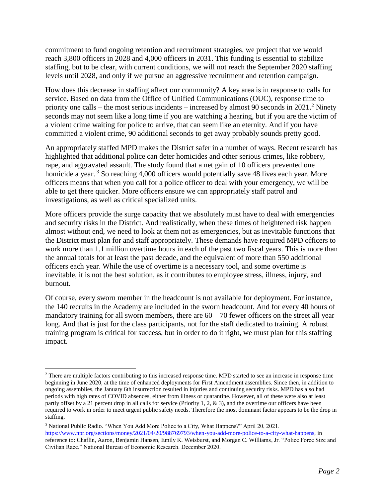commitment to fund ongoing retention and recruitment strategies, we project that we would reach 3,800 officers in 2028 and 4,000 officers in 2031. This funding is essential to stabilize staffing, but to be clear, with current conditions, we will not reach the September 2020 staffing levels until 2028, and only if we pursue an aggressive recruitment and retention campaign.

How does this decrease in staffing affect our community? A key area is in response to calls for service. Based on data from the Office of Unified Communications (OUC), response time to priority one calls – the most serious incidents – increased by almost 90 seconds in  $2021$ .<sup>2</sup> Ninety seconds may not seem like a long time if you are watching a hearing, but if you are the victim of a violent crime waiting for police to arrive, that can seem like an eternity. And if you have committed a violent crime, 90 additional seconds to get away probably sounds pretty good.

An appropriately staffed MPD makes the District safer in a number of ways. Recent research has highlighted that additional police can deter homicides and other serious crimes, like robbery, rape, and aggravated assault. The study found that a net gain of 10 officers prevented one homicide a year.<sup>3</sup> So reaching 4,000 officers would potentially save 48 lives each year. More officers means that when you call for a police officer to deal with your emergency, we will be able to get there quicker. More officers ensure we can appropriately staff patrol and investigations, as well as critical specialized units.

More officers provide the surge capacity that we absolutely must have to deal with emergencies and security risks in the District. And realistically, when these times of heightened risk happen almost without end, we need to look at them not as emergencies, but as inevitable functions that the District must plan for and staff appropriately. These demands have required MPD officers to work more than 1.1 million overtime hours in each of the past two fiscal years. This is more than the annual totals for at least the past decade, and the equivalent of more than 550 additional officers each year. While the use of overtime is a necessary tool, and some overtime is inevitable, it is not the best solution, as it contributes to employee stress, illness, injury, and burnout.

Of course, every sworn member in the headcount is not available for deployment. For instance, the 140 recruits in the Academy are included in the sworn headcount. And for every 40 hours of mandatory training for all sworn members, there are  $60 - 70$  fewer officers on the street all year long. And that is just for the class participants, not for the staff dedicated to training. A robust training program is critical for success, but in order to do it right, we must plan for this staffing impact.

 $\overline{a}$ 

<sup>&</sup>lt;sup>2</sup> There are multiple factors contributing to this increased response time. MPD started to see an increase in response time beginning in June 2020, at the time of enhanced deployments for First Amendment assemblies. Since then, in addition to ongoing assemblies, the January 6th insurrection resulted in injuries and continuing security risks. MPD has also had periods with high rates of COVID absences, either from illness or quarantine. However, all of these were also at least partly offset by a 21 percent drop in all calls for service (Priority 1, 2, & 3), and the overtime our officers have been required to work in order to meet urgent public safety needs. Therefore the most dominant factor appears to be the drop in staffing.

<sup>3</sup> National Public Radio. "When You Add More Police to a City, What Happens?" April 20, 2021. [https://www.npr.org/sections/money/2021/04/20/988769793/when-you-add-more-police-to-a-city-what-happens,](https://www.npr.org/sections/money/2021/04/20/988769793/when-you-add-more-police-to-a-city-what-happens) in reference to: Chaflin, Aaron, Benjamin Hansen, Emily K. Weisburst, and Morgan C. Williams, Jr. "Police Force Size and Civilian Race." National Bureau of Economic Research. December 2020.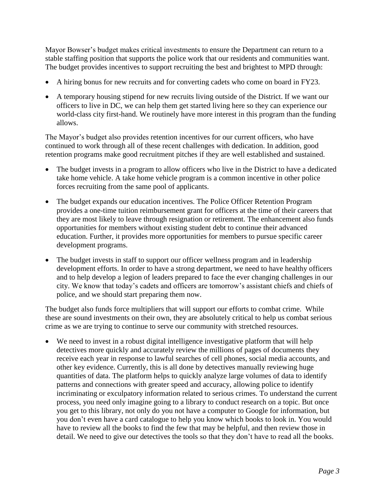Mayor Bowser's budget makes critical investments to ensure the Department can return to a stable staffing position that supports the police work that our residents and communities want. The budget provides incentives to support recruiting the best and brightest to MPD through:

- A hiring bonus for new recruits and for converting cadets who come on board in FY23.
- A temporary housing stipend for new recruits living outside of the District. If we want our officers to live in DC, we can help them get started living here so they can experience our world-class city first-hand. We routinely have more interest in this program than the funding allows.

The Mayor's budget also provides retention incentives for our current officers, who have continued to work through all of these recent challenges with dedication. In addition, good retention programs make good recruitment pitches if they are well established and sustained.

- The budget invests in a program to allow officers who live in the District to have a dedicated take home vehicle. A take home vehicle program is a common incentive in other police forces recruiting from the same pool of applicants.
- The budget expands our education incentives. The Police Officer Retention Program provides a one-time tuition reimbursement grant for officers at the time of their careers that they are most likely to leave through resignation or retirement. The enhancement also funds opportunities for members without existing student debt to continue their advanced education. Further, it provides more opportunities for members to pursue specific career development programs.
- The budget invests in staff to support our officer wellness program and in leadership development efforts. In order to have a strong department, we need to have healthy officers and to help develop a legion of leaders prepared to face the ever changing challenges in our city. We know that today's cadets and officers are tomorrow's assistant chiefs and chiefs of police, and we should start preparing them now.

The budget also funds force multipliers that will support our efforts to combat crime. While these are sound investments on their own, they are absolutely critical to help us combat serious crime as we are trying to continue to serve our community with stretched resources.

 We need to invest in a robust digital intelligence investigative platform that will help detectives more quickly and accurately review the millions of pages of documents they receive each year in response to lawful searches of cell phones, social media accounts, and other key evidence. Currently, this is all done by detectives manually reviewing huge quantities of data. The platform helps to quickly analyze large volumes of data to identify patterns and connections with greater speed and accuracy, allowing police to identify incriminating or exculpatory information related to serious crimes. To understand the current process, you need only imagine going to a library to conduct research on a topic. But once you get to this library, not only do you not have a computer to Google for information, but you don't even have a card catalogue to help you know which books to look in. You would have to review all the books to find the few that may be helpful, and then review those in detail. We need to give our detectives the tools so that they don't have to read all the books.